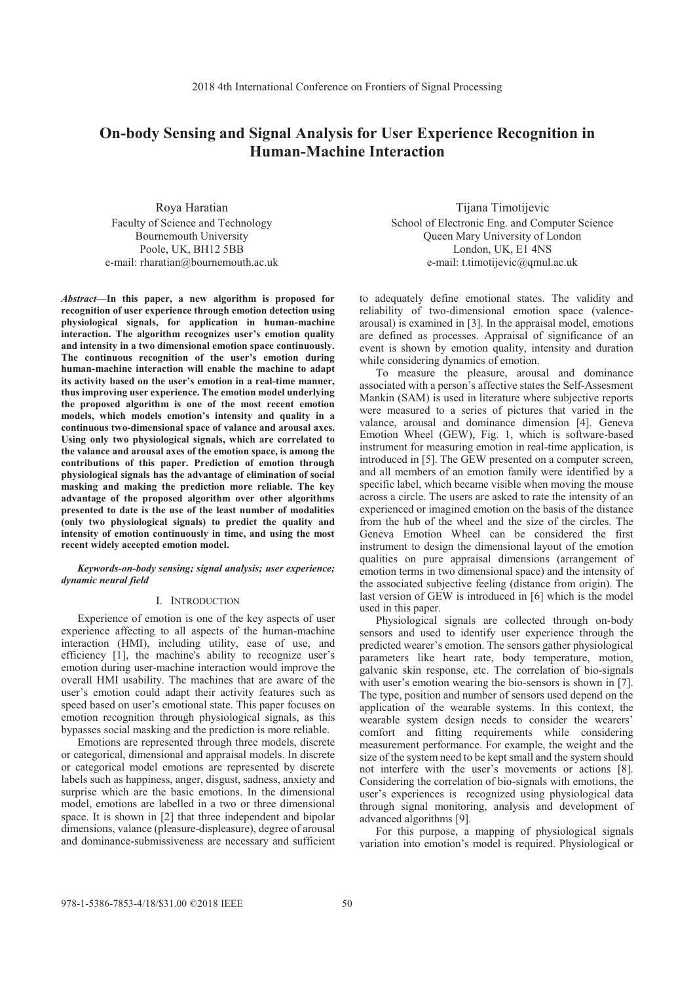# **On-body Sensing and Signal Analysis for User Experience Recognition in Human-Machine Interaction**

Roya Haratian Faculty of Science and Technology Bournemouth University Poole, UK, BH12 5BB e-mail: rharatian@bournemouth.ac.uk

*Abstract*—**In this paper, a new algorithm is proposed for recognition of user experience through emotion detection using physiological signals, for application in human-machine interaction. The algorithm recognizes user's emotion quality and intensity in a two dimensional emotion space continuously. The continuous recognition of the user's emotion during human-machine interaction will enable the machine to adapt its activity based on the user's emotion in a real-time manner, thus improving user experience. The emotion model underlying the proposed algorithm is one of the most recent emotion models, which models emotion's intensity and quality in a continuous two-dimensional space of valance and arousal axes. Using only two physiological signals, which are correlated to the valance and arousal axes of the emotion space, is among the contributions of this paper. Prediction of emotion through physiological signals has the advantage of elimination of social masking and making the prediction more reliable. The key advantage of the proposed algorithm over other algorithms presented to date is the use of the least number of modalities (only two physiological signals) to predict the quality and intensity of emotion continuously in time, and using the most recent widely accepted emotion model.**

## *Keywords-on-body sensing; signal analysis; user experience; dynamic neural field*

#### I. INTRODUCTION

Experience of emotion is one of the key aspects of user experience affecting to all aspects of the human-machine interaction (HMI), including utility, ease of use, and efficiency [1], the machine's ability to recognize user's emotion during user-machine interaction would improve the overall HMI usability. The machines that are aware of the user's emotion could adapt their activity features such as speed based on user's emotional state. This paper focuses on emotion recognition through physiological signals, as this bypasses social masking and the prediction is more reliable.

Emotions are represented through three models, discrete or categorical, dimensional and appraisal models. In discrete or categorical model emotions are represented by discrete labels such as happiness, anger, disgust, sadness, anxiety and surprise which are the basic emotions. In the dimensional model, emotions are labelled in a two or three dimensional space. It is shown in [2] that three independent and bipolar dimensions, valance (pleasure-displeasure), degree of arousal and dominance-submissiveness are necessary and sufficient

Tijana Timotijevic School of Electronic Eng. and Computer Science Queen Mary University of London London, UK, E1 4NS e-mail: t.timotijevic@qmul.ac.uk

to adequately define emotional states. The validity and reliability of two-dimensional emotion space (valencearousal) is examined in [3]. In the appraisal model, emotions are defined as processes. Appraisal of significance of an event is shown by emotion quality, intensity and duration while considering dynamics of emotion.

To measure the pleasure, arousal and dominance associated with a person's affective states the Self-Assesment Mankin (SAM) is used in literature where subjective reports were measured to a series of pictures that varied in the valance, arousal and dominance dimension [4]. Geneva Emotion Wheel (GEW), Fig. 1, which is software-based instrument for measuring emotion in real-time application, is introduced in [5]. The GEW presented on a computer screen, and all members of an emotion family were identified by a specific label, which became visible when moving the mouse across a circle. The users are asked to rate the intensity of an experienced or imagined emotion on the basis of the distance from the hub of the wheel and the size of the circles. The Geneva Emotion Wheel can be considered the first instrument to design the dimensional layout of the emotion qualities on pure appraisal dimensions (arrangement of emotion terms in two dimensional space) and the intensity of the associated subjective feeling (distance from origin). The last version of GEW is introduced in [6] which is the model used in this paper.

Physiological signals are collected through on-body sensors and used to identify user experience through the predicted wearer's emotion. The sensors gather physiological parameters like heart rate, body temperature, motion, galvanic skin response, etc. The correlation of bio-signals with user's emotion wearing the bio-sensors is shown in [7]. The type, position and number of sensors used depend on the application of the wearable systems. In this context, the wearable system design needs to consider the wearers' comfort and fitting requirements while considering measurement performance. For example, the weight and the size of the system need to be kept small and the system should not interfere with the user's movements or actions [8]. Considering the correlation of bio-signals with emotions, the user's experiences is recognized using physiological data through signal monitoring, analysis and development of advanced algorithms [9].

For this purpose, a mapping of physiological signals variation into emotion's model is required. Physiological or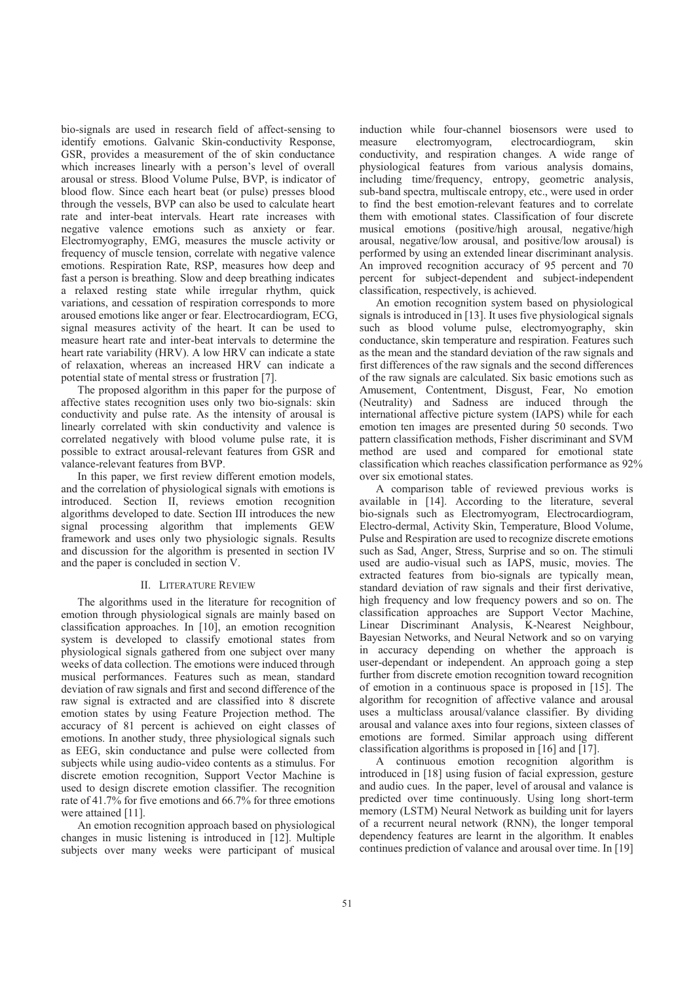bio-signals are used in research field of affect-sensing to identify emotions. Galvanic Skin-conductivity Response, GSR, provides a measurement of the of skin conductance which increases linearly with a person's level of overall arousal or stress. Blood Volume Pulse, BVP, is indicator of blood flow. Since each heart beat (or pulse) presses blood through the vessels, BVP can also be used to calculate heart rate and inter-beat intervals. Heart rate increases with negative valence emotions such as anxiety or fear. Electromyography, EMG, measures the muscle activity or frequency of muscle tension, correlate with negative valence emotions. Respiration Rate, RSP, measures how deep and fast a person is breathing. Slow and deep breathing indicates a relaxed resting state while irregular rhythm, quick variations, and cessation of respiration corresponds to more aroused emotions like anger or fear. Electrocardiogram, ECG, signal measures activity of the heart. It can be used to measure heart rate and inter-beat intervals to determine the heart rate variability (HRV). A low HRV can indicate a state of relaxation, whereas an increased HRV can indicate a potential state of mental stress or frustration [7].

The proposed algorithm in this paper for the purpose of affective states recognition uses only two bio-signals: skin conductivity and pulse rate. As the intensity of arousal is linearly correlated with skin conductivity and valence is correlated negatively with blood volume pulse rate, it is possible to extract arousal-relevant features from GSR and valance-relevant features from BVP.

In this paper, we first review different emotion models, and the correlation of physiological signals with emotions is introduced. Section II, reviews emotion recognition algorithms developed to date. Section III introduces the new signal processing algorithm that implements GEW framework and uses only two physiologic signals. Results and discussion for the algorithm is presented in section IV and the paper is concluded in section V.

## II. LITERATURE REVIEW

The algorithms used in the literature for recognition of emotion through physiological signals are mainly based on classification approaches. In [10], an emotion recognition system is developed to classify emotional states from physiological signals gathered from one subject over many weeks of data collection. The emotions were induced through musical performances. Features such as mean, standard deviation of raw signals and first and second difference of the raw signal is extracted and are classified into 8 discrete emotion states by using Feature Projection method. The accuracy of 81 percent is achieved on eight classes of emotions. In another study, three physiological signals such as EEG, skin conductance and pulse were collected from subjects while using audio-video contents as a stimulus. For discrete emotion recognition, Support Vector Machine is used to design discrete emotion classifier. The recognition rate of 41.7% for five emotions and 66.7% for three emotions were attained [11].

An emotion recognition approach based on physiological changes in music listening is introduced in [12]. Multiple subjects over many weeks were participant of musical induction while four-channel biosensors were used to measure electromyogram, electrocardiogram, skin conductivity, and respiration changes. A wide range of physiological features from various analysis domains, including time/frequency, entropy, geometric analysis, sub-band spectra, multiscale entropy, etc., were used in order to find the best emotion-relevant features and to correlate them with emotional states. Classification of four discrete musical emotions (positive/high arousal, negative/high arousal, negative/low arousal, and positive/low arousal) is performed by using an extended linear discriminant analysis. An improved recognition accuracy of 95 percent and 70 percent for subject-dependent and subject-independent classification, respectively, is achieved.

An emotion recognition system based on physiological signals is introduced in [13]. It uses five physiological signals such as blood volume pulse, electromyography, skin conductance, skin temperature and respiration. Features such as the mean and the standard deviation of the raw signals and first differences of the raw signals and the second differences of the raw signals are calculated. Six basic emotions such as Amusement, Contentment, Disgust, Fear, No emotion (Neutrality) and Sadness are induced through the international affective picture system (IAPS) while for each emotion ten images are presented during 50 seconds. Two pattern classification methods, Fisher discriminant and SVM method are used and compared for emotional state classification which reaches classification performance as 92% over six emotional states.

A comparison table of reviewed previous works is available in [14]. According to the literature, several bio-signals such as Electromyogram, Electrocardiogram, Electro-dermal, Activity Skin, Temperature, Blood Volume, Pulse and Respiration are used to recognize discrete emotions such as Sad, Anger, Stress, Surprise and so on. The stimuli used are audio-visual such as IAPS, music, movies. The extracted features from bio-signals are typically mean, standard deviation of raw signals and their first derivative, high frequency and low frequency powers and so on. The classification approaches are Support Vector Machine, Linear Discriminant Analysis, K-Nearest Neighbour, Bayesian Networks, and Neural Network and so on varying in accuracy depending on whether the approach is user-dependant or independent. An approach going a step further from discrete emotion recognition toward recognition of emotion in a continuous space is proposed in [15]. The algorithm for recognition of affective valance and arousal uses a multiclass arousal/valance classifier. By dividing arousal and valance axes into four regions, sixteen classes of emotions are formed. Similar approach using different classification algorithms is proposed in [16] and [17].

A continuous emotion recognition algorithm is introduced in [18] using fusion of facial expression, gesture and audio cues. In the paper, level of arousal and valance is predicted over time continuously. Using long short-term memory (LSTM) Neural Network as building unit for layers of a recurrent neural network (RNN), the longer temporal dependency features are learnt in the algorithm. It enables continues prediction of valance and arousal over time. In [19]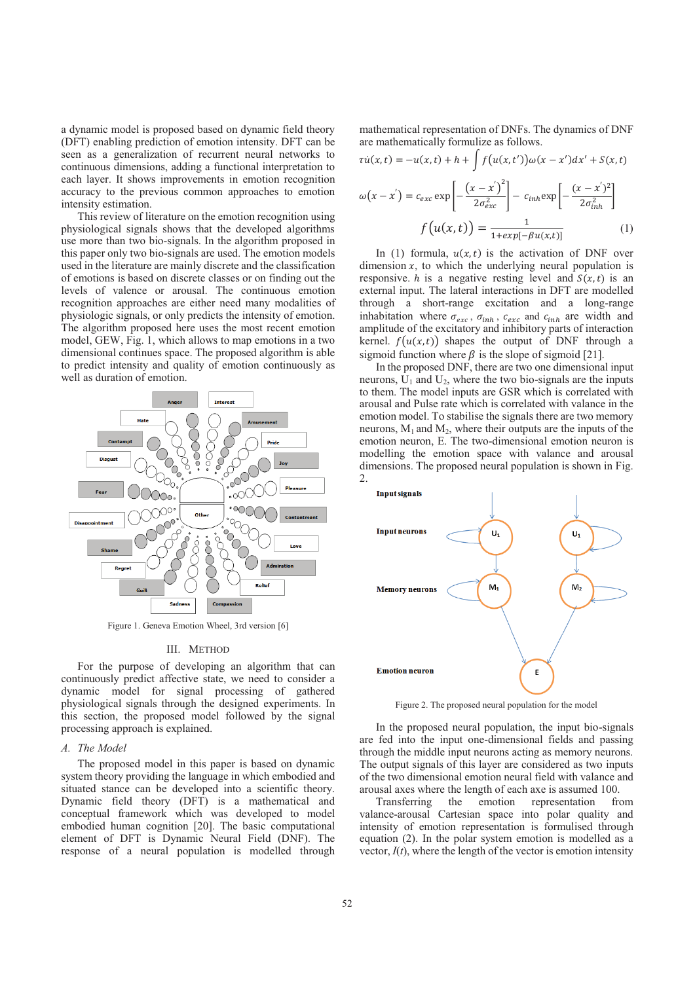a dynamic model is proposed based on dynamic field theory (DFT) enabling prediction of emotion intensity. DFT can be seen as a generalization of recurrent neural networks to continuous dimensions, adding a functional interpretation to each layer. It shows improvements in emotion recognition accuracy to the previous common approaches to emotion intensity estimation.

This review of literature on the emotion recognition using physiological signals shows that the developed algorithms use more than two bio-signals. In the algorithm proposed in this paper only two bio-signals are used. The emotion models used in the literature are mainly discrete and the classification of emotions is based on discrete classes or on finding out the levels of valence or arousal. The continuous emotion recognition approaches are either need many modalities of physiologic signals, or only predicts the intensity of emotion. The algorithm proposed here uses the most recent emotion model, GEW, Fig. 1, which allows to map emotions in a two dimensional continues space. The proposed algorithm is able to predict intensity and quality of emotion continuously as well as duration of emotion.



Figure 1. Geneva Emotion Wheel, 3rd version [6]

### III. METHOD

For the purpose of developing an algorithm that can continuously predict affective state, we need to consider a dynamic model for signal processing of gathered physiological signals through the designed experiments. In this section, the proposed model followed by the signal processing approach is explained.

## *A. The Model*

The proposed model in this paper is based on dynamic system theory providing the language in which embodied and situated stance can be developed into a scientific theory. Dynamic field theory (DFT) is a mathematical and conceptual framework which was developed to model embodied human cognition [20]. The basic computational element of DFT is Dynamic Neural Field (DNF). The response of a neural population is modelled through mathematical representation of DNFs. The dynamics of DNF are mathematically formulize as follows.

$$
\tau \dot{u}(x,t) = -u(x,t) + h + \int f(u(x,t'))\omega(x-x')dx' + S(x,t)
$$

$$
\omega(x - x') = c_{exc} \exp\left[-\frac{(x - x')^2}{2\sigma_{exc}^2}\right] - c_{inh} \exp\left[-\frac{(x - x')^2}{2\sigma_{inh}^2}\right]
$$

$$
f(u(x, t)) = \frac{1}{1 + exp[-\beta u(x, t)]}
$$
(1)

In (1) formula,  $u(x, t)$  is the activation of DNF over dimension  $x$ , to which the underlying neural population is responsive. h is a negative resting level and  $S(x,t)$  is an external input. The lateral interactions in DFT are modelled through a short-range excitation and a long-range inhabitation where  $\sigma_{exc}$ ,  $\sigma_{inh}$ ,  $c_{exc}$  and  $c_{inh}$  are width and amplitude of the excitatory and inhibitory parts of interaction kernel.  $f(u(x,t))$  shapes the output of DNF through a sigmoid function where  $\beta$  is the slope of sigmoid [21].

In the proposed DNF, there are two one dimensional input neurons,  $U_1$  and  $U_2$ , where the two bio-signals are the inputs to them. The model inputs are GSR which is correlated with arousal and Pulse rate which is correlated with valance in the emotion model. To stabilise the signals there are two memory neurons,  $M_1$  and  $M_2$ , where their outputs are the inputs of the emotion neuron, E. The two-dimensional emotion neuron is modelling the emotion space with valance and arousal dimensions. The proposed neural population is shown in Fig. 2.



Figure 2. The proposed neural population for the model

In the proposed neural population, the input bio-signals are fed into the input one-dimensional fields and passing through the middle input neurons acting as memory neurons. The output signals of this layer are considered as two inputs of the two dimensional emotion neural field with valance and arousal axes where the length of each axe is assumed 100.

Transferring the emotion representation from valance-arousal Cartesian space into polar quality and intensity of emotion representation is formulised through equation (2). In the polar system emotion is modelled as a vector,  $I(t)$ , where the length of the vector is emotion intensity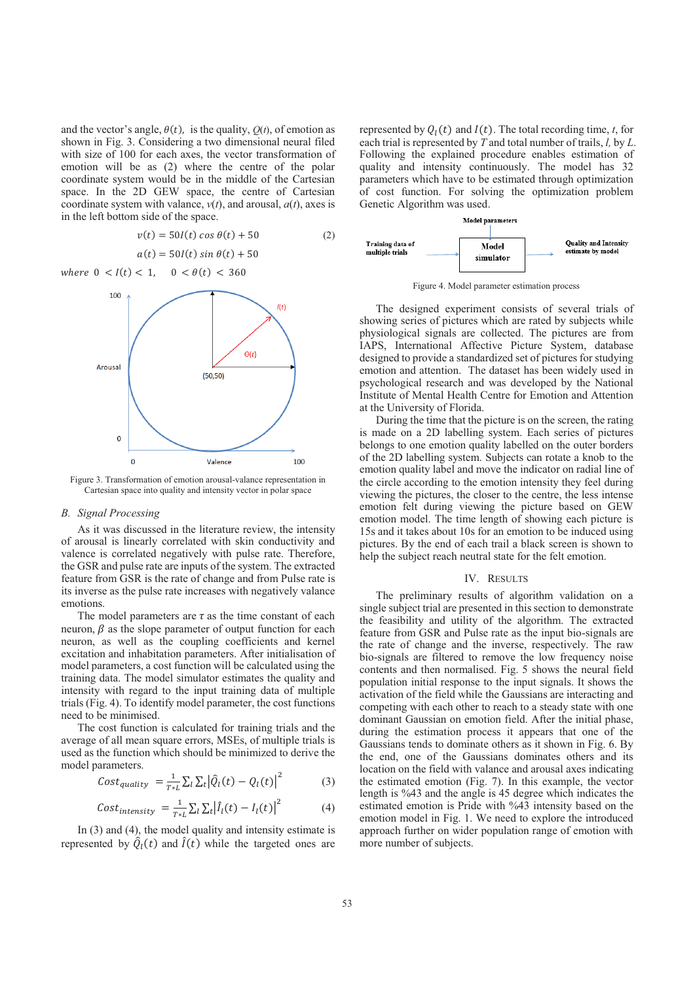and the vector's angle,  $\theta(t)$ , is the quality,  $Q(t)$ , of emotion as shown in Fig. 3. Considering a two dimensional neural filed with size of 100 for each axes, the vector transformation of emotion will be as (2) where the centre of the polar coordinate system would be in the middle of the Cartesian space. In the 2D GEW space, the centre of Cartesian coordinate system with valance,  $v(t)$ , and arousal,  $a(t)$ , axes is in the left bottom side of the space.

$$
v(t) = 50I(t)\cos\theta(t) + 50
$$
 (2)  

$$
a(t) = 50I(t)\sin\theta(t) + 50
$$

where  $0 < I(t) < 1$ ,  $0 < \theta(t) < 360$ 



Figure 3. Transformation of emotion arousal-valance representation in Cartesian space into quality and intensity vector in polar space

#### *B. Signal Processing*

As it was discussed in the literature review, the intensity of arousal is linearly correlated with skin conductivity and valence is correlated negatively with pulse rate. Therefore, the GSR and pulse rate are inputs of the system. The extracted feature from GSR is the rate of change and from Pulse rate is its inverse as the pulse rate increases with negatively valance emotions.

The model parameters are  $\tau$  as the time constant of each neuron,  $\beta$  as the slope parameter of output function for each neuron, as well as the coupling coefficients and kernel excitation and inhabitation parameters. After initialisation of model parameters, a cost function will be calculated using the training data. The model simulator estimates the quality and intensity with regard to the input training data of multiple trials (Fig. 4). To identify model parameter, the cost functions need to be minimised.

The cost function is calculated for training trials and the average of all mean square errors, MSEs, of multiple trials is used as the function which should be minimized to derive the model parameters.

$$
Cost_{quality} = \frac{1}{T_{*L}} \sum_{l} \sum_{l} |\hat{Q}_l(t) - Q_l(t)|^2 \tag{3}
$$

$$
Cost_{intensity} = \frac{1}{T_{*L}} \sum_{l} \sum_{t} \left| \hat{I}_{l}(t) - I_{l}(t) \right|^{2} \tag{4}
$$

In (3) and (4), the model quality and intensity estimate is represented by  $\hat{Q}_I(t)$  and  $\hat{I}(t)$  while the targeted ones are represented by  $Q_l(t)$  and  $I(t)$ . The total recording time, *t*, for each trial is represented by *T* and total number of trails, *l,* by *L*. Following the explained procedure enables estimation of quality and intensity continuously. The model has 32 parameters which have to be estimated through optimization of cost function. For solving the optimization problem Genetic Algorithm was used.



Figure 4. Model parameter estimation process

The designed experiment consists of several trials of showing series of pictures which are rated by subjects while physiological signals are collected. The pictures are from IAPS, International Affective Picture System, database designed to provide a standardized set of pictures for studying emotion and attention. The dataset has been widely used in psychological research and was developed by the National Institute of Mental Health Centre for Emotion and Attention at the University of Florida.

During the time that the picture is on the screen, the rating is made on a 2D labelling system. Each series of pictures belongs to one emotion quality labelled on the outer borders of the 2D labelling system. Subjects can rotate a knob to the emotion quality label and move the indicator on radial line of the circle according to the emotion intensity they feel during viewing the pictures, the closer to the centre, the less intense emotion felt during viewing the picture based on GEW emotion model. The time length of showing each picture is 15s and it takes about 10s for an emotion to be induced using pictures. By the end of each trail a black screen is shown to help the subject reach neutral state for the felt emotion.

## IV. RESULTS

The preliminary results of algorithm validation on a single subject trial are presented in this section to demonstrate the feasibility and utility of the algorithm. The extracted feature from GSR and Pulse rate as the input bio-signals are the rate of change and the inverse, respectively. The raw bio-signals are filtered to remove the low frequency noise contents and then normalised. Fig. 5 shows the neural field population initial response to the input signals. It shows the activation of the field while the Gaussians are interacting and competing with each other to reach to a steady state with one dominant Gaussian on emotion field. After the initial phase, during the estimation process it appears that one of the Gaussians tends to dominate others as it shown in Fig. 6. By the end, one of the Gaussians dominates others and its location on the field with valance and arousal axes indicating the estimated emotion (Fig. 7). In this example, the vector length is %43 and the angle is 45 degree which indicates the estimated emotion is Pride with %43 intensity based on the emotion model in Fig. 1. We need to explore the introduced approach further on wider population range of emotion with more number of subjects.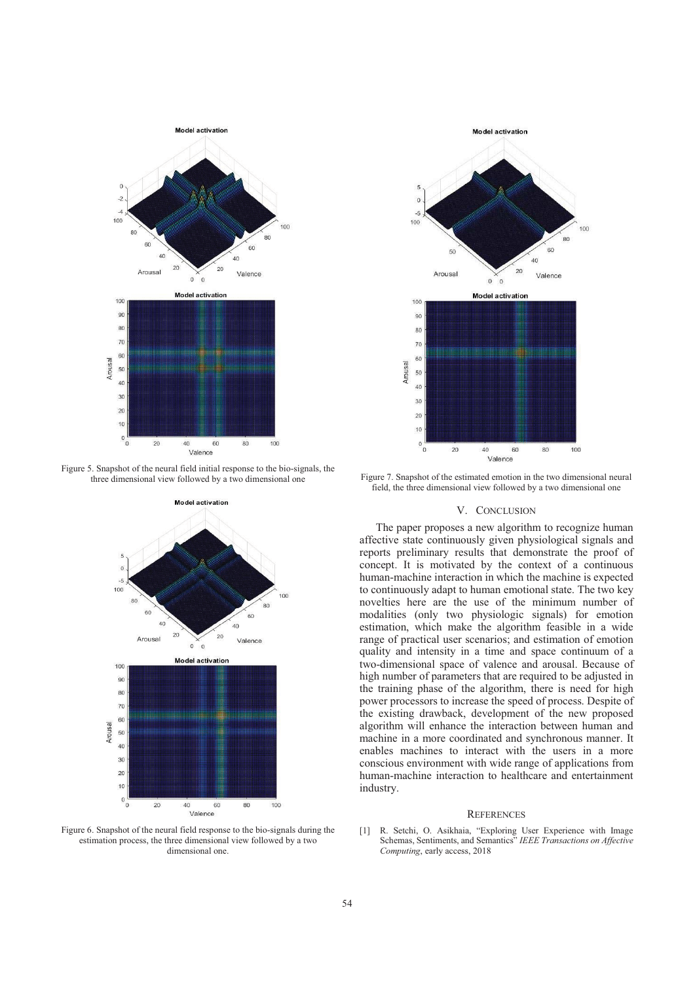

Figure 5. Snapshot of the neural field initial response to the bio-signals, the three dimensional view followed by a two dimensional one







Figure 7. Snapshot of the estimated emotion in the two dimensional neural field, the three dimensional view followed by a two dimensional one

#### V. CONCLUSION

The paper proposes a new algorithm to recognize human affective state continuously given physiological signals and reports preliminary results that demonstrate the proof of concept. It is motivated by the context of a continuous human-machine interaction in which the machine is expected to continuously adapt to human emotional state. The two key novelties here are the use of the minimum number of modalities (only two physiologic signals) for emotion estimation, which make the algorithm feasible in a wide range of practical user scenarios; and estimation of emotion quality and intensity in a time and space continuum of a two-dimensional space of valence and arousal. Because of high number of parameters that are required to be adjusted in the training phase of the algorithm, there is need for high power processors to increase the speed of process. Despite of the existing drawback, development of the new proposed algorithm will enhance the interaction between human and machine in a more coordinated and synchronous manner. It enables machines to interact with the users in a more conscious environment with wide range of applications from human-machine interaction to healthcare and entertainment industry.

#### **REFERENCES**

[1] R. Setchi, O. Asikhaia, "Exploring User Experience with Image Schemas, Sentiments, and Semantics" *IEEE Transactions on Affective Computing*, early access, 2018